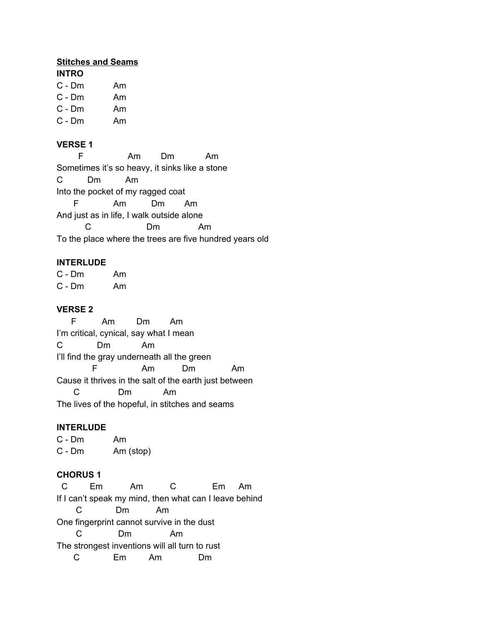#### **Stitches and Seams**

- C Dm Am
- C Dm Am
- C Dm Am
- C Dm Am

## **VERSE 1**

F Am Dm Am Sometimes it's so heavy, it sinks like a stone C Dm Am Into the pocket of my ragged coat F Am Dm Am And just as in life, I walk outside alone C Dm Am To the place where the trees are five hundred years old

### **INTERLUDE**

C - Dm Am C - Dm Am

## **VERSE 2**

F Am Dm Am I'm critical, cynical, say what I mean C Dm Am I'll find the gray underneath all the green F Am Dm Am Cause it thrives in the salt of the earth just between C Dm Am The lives of the hopeful, in stitches and seams

## **INTERLUDE**

C - Dm Am C - Dm Am (stop)

## **CHORUS 1**

C Em Am C Em Am If I can't speak my mind, then what can I leave behind C Dm Am One fingerprint cannot survive in the dust C Dm Am The strongest inventions will all turn to rust C Em Am Dm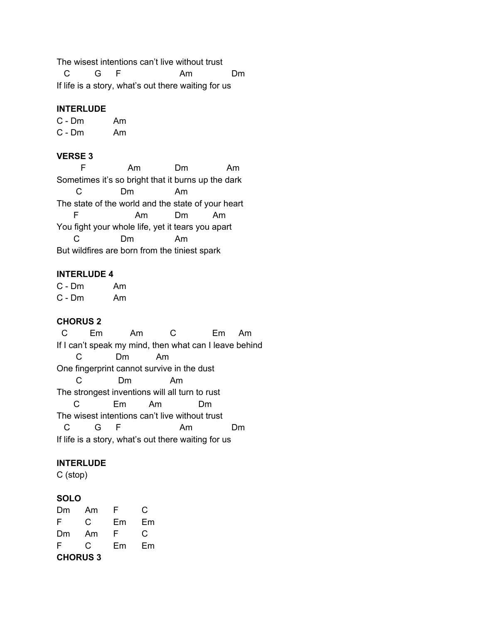The wisest intentions can't live without trust

C G F Am Dm If life is a story, what's out there waiting for us

### **INTERLUDE**

C - Dm Am C - Dm Am

### **VERSE 3**

F Am Dm Am Sometimes it's so bright that it burns up the dark C Dm Am The state of the world and the state of your heart F Am Dm Am You fight your whole life, yet it tears you apart C Dm Am But wildfires are born from the tiniest spark

### **INTERLUDE 4**

C - Dm Am C - Dm Am

## **CHORUS 2**

C Em Am C Em Am If I can't speak my mind, then what can I leave behind C Dm Am One fingerprint cannot survive in the dust C Dm Am The strongest inventions will all turn to rust C Em Am Dm The wisest intentions can't live without trust C G F Am Dm If life is a story, what's out there waiting for us

## **INTERLUDE**

C (stop)

#### **SOLO**

| Dm              | Am | F  | C  |  |
|-----------------|----|----|----|--|
| F               | C. | Em | Em |  |
| Dm              | Am | F  | C  |  |
| F               | C. | Em | Em |  |
| <b>CHORUS 3</b> |    |    |    |  |